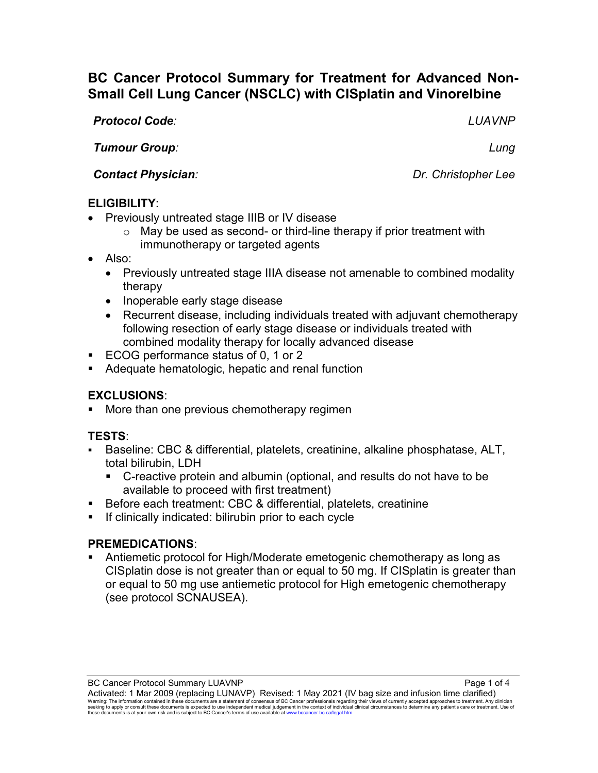# **BC Cancer Protocol Summary for Treatment for Advanced Non-Small Cell Lung Cancer (NSCLC) with CISplatin and Vinorelbine**

*Protocol Code: LUAVNP*

*Tumour Group: Lung*

*Contact Physician: Dr. Christopher Lee*

## **ELIGIBILITY**:

- Previously untreated stage IIIB or IV disease
	- o May be used as second- or third-line therapy if prior treatment with immunotherapy or targeted agents
- Also:
	- Previously untreated stage IIIA disease not amenable to combined modality therapy
	- Inoperable early stage disease
	- Recurrent disease, including individuals treated with adjuvant chemotherapy following resection of early stage disease or individuals treated with combined modality therapy for locally advanced disease
- ECOG performance status of 0, 1 or 2
- **Adequate hematologic, hepatic and renal function**

## **EXCLUSIONS**:

More than one previous chemotherapy regimen

## **TESTS**:

- Baseline: CBC & differential, platelets, creatinine, alkaline phosphatase, ALT, total bilirubin, LDH
	- C-reactive protein and albumin (optional, and results do not have to be available to proceed with first treatment)
- Before each treatment: CBC & differential, platelets, creatinine
- If clinically indicated: bilirubin prior to each cycle

## **PREMEDICATIONS**:

 Antiemetic protocol for High/Moderate emetogenic chemotherapy as long as CISplatin dose is not greater than or equal to 50 mg. If CISplatin is greater than or equal to 50 mg use antiemetic protocol for High emetogenic chemotherapy (see protocol SCNAUSEA).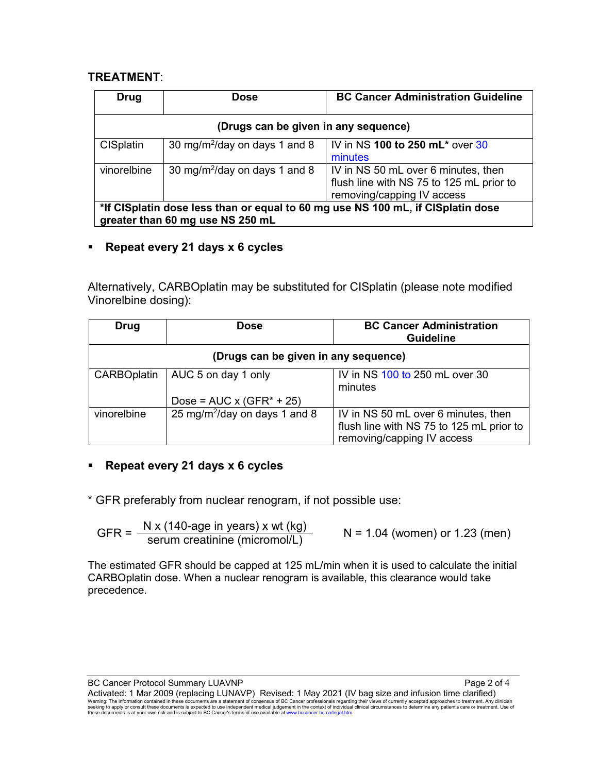#### **TREATMENT**:

| Drug                                                                            | <b>Dose</b>                               | <b>BC Cancer Administration Guideline</b> |  |
|---------------------------------------------------------------------------------|-------------------------------------------|-------------------------------------------|--|
| (Drugs can be given in any sequence)                                            |                                           |                                           |  |
| <b>CISplatin</b>                                                                | 30 mg/m <sup>2</sup> /day on days 1 and 8 | IV in NS 100 to 250 mL* over 30           |  |
|                                                                                 |                                           | minutes                                   |  |
| vinorelbine                                                                     | 30 mg/m <sup>2</sup> /day on days 1 and 8 | IV in NS 50 mL over 6 minutes, then       |  |
|                                                                                 |                                           | flush line with NS 75 to 125 mL prior to  |  |
|                                                                                 |                                           | removing/capping IV access                |  |
| *If CISplatin dose less than or equal to 60 mg use NS 100 mL, if CISplatin dose |                                           |                                           |  |
| greater than 60 mg use NS 250 mL                                                |                                           |                                           |  |

### **Repeat every 21 days x 6 cycles**

Alternatively, CARBOplatin may be substituted for CISplatin (please note modified Vinorelbine dosing):

| Drug                                 | <b>Dose</b>                               | <b>BC Cancer Administration</b><br><b>Guideline</b>                                                           |  |  |
|--------------------------------------|-------------------------------------------|---------------------------------------------------------------------------------------------------------------|--|--|
| (Drugs can be given in any sequence) |                                           |                                                                                                               |  |  |
| <b>CARBOplatin</b>                   | AUC 5 on day 1 only                       | IV in NS 100 to 250 mL over 30<br>minutes                                                                     |  |  |
|                                      | Dose = $AUC \times (GFR^* + 25)$          |                                                                                                               |  |  |
| vinorelbine                          | 25 mg/m <sup>2</sup> /day on days 1 and 8 | IV in NS 50 mL over 6 minutes, then<br>flush line with NS 75 to 125 mL prior to<br>removing/capping IV access |  |  |

### **Repeat every 21 days x 6 cycles**

\* GFR preferably from nuclear renogram, if not possible use:

$$
GFR = \frac{N x (140 \text{-age in years}) x wt (kg)}{serum creationine (micromol/L)}
$$
 N = 1.04 (women) or 1.23 (men)

The estimated GFR should be capped at 125 mL/min when it is used to calculate the initial CARBOplatin dose. When a nuclear renogram is available, this clearance would take precedence.

BC Cancer Protocol Summary LUAVNP **Page 2 of 4** and 2 of 4

Activated: 1 Mar 2009 (replacing LUNAVP) Revised: 1 May 2021 (IV bag size and infusion time clarified)<br>Warning: The information contained in these documents are a statement of consensus of BC Cancer professionals regarding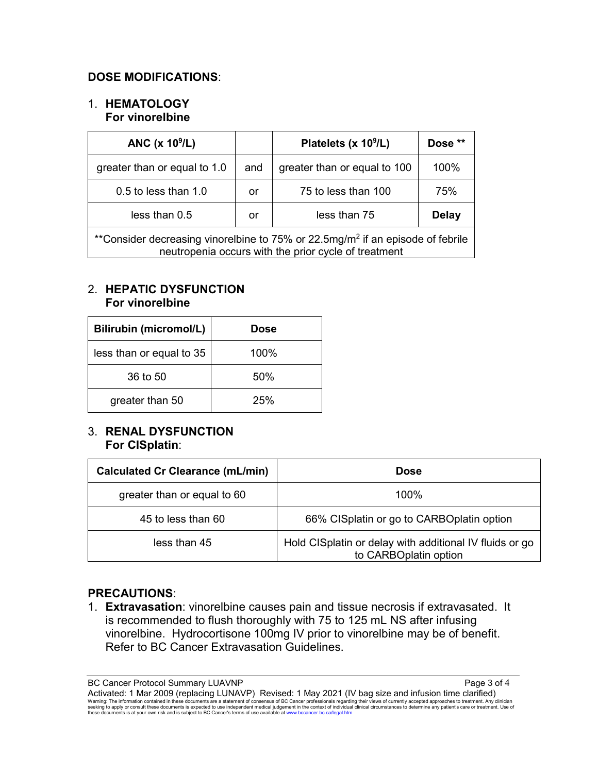#### **DOSE MODIFICATIONS**:

#### 1. **HEMATOLOGY For vinorelbine**

| ANC $(x 109/L)$                                                                                                                                    |     | Platelets (x 10 <sup>9</sup> /L) | Dose **      |  |
|----------------------------------------------------------------------------------------------------------------------------------------------------|-----|----------------------------------|--------------|--|
| greater than or equal to 1.0                                                                                                                       | and | greater than or equal to 100     | 100%         |  |
| 0.5 to less than 1.0                                                                                                                               | or  | 75 to less than 100              | 75%          |  |
| less than 0.5                                                                                                                                      | or  | less than 75                     | <b>Delay</b> |  |
| **Consider decreasing vinorelbine to 75% or 22.5mg/m <sup>2</sup> if an episode of febrile<br>neutropenia occurs with the prior cycle of treatment |     |                                  |              |  |

#### 2. **HEPATIC DYSFUNCTION For vinorelbine**

| <b>Bilirubin (micromol/L)</b> | <b>Dose</b> |
|-------------------------------|-------------|
| less than or equal to 35      | 100%        |
| 36 to 50                      | 50%         |
| greater than 50               | 25%         |

#### 3. **RENAL DYSFUNCTION For CISplatin**:

| <b>Calculated Cr Clearance (mL/min)</b> | <b>Dose</b>                                                                      |
|-----------------------------------------|----------------------------------------------------------------------------------|
| greater than or equal to 60             | $100\%$                                                                          |
| 45 to less than 60                      | 66% CISplatin or go to CARBOplatin option                                        |
| less than 45                            | Hold CISplatin or delay with additional IV fluids or go<br>to CARBOplatin option |

### **PRECAUTIONS**:

1. **Extravasation**: vinorelbine causes pain and tissue necrosis if extravasated. It is recommended to flush thoroughly with 75 to 125 mL NS after infusing vinorelbine. Hydrocortisone 100mg IV prior to vinorelbine may be of benefit. Refer to BC Cancer Extravasation Guidelines.